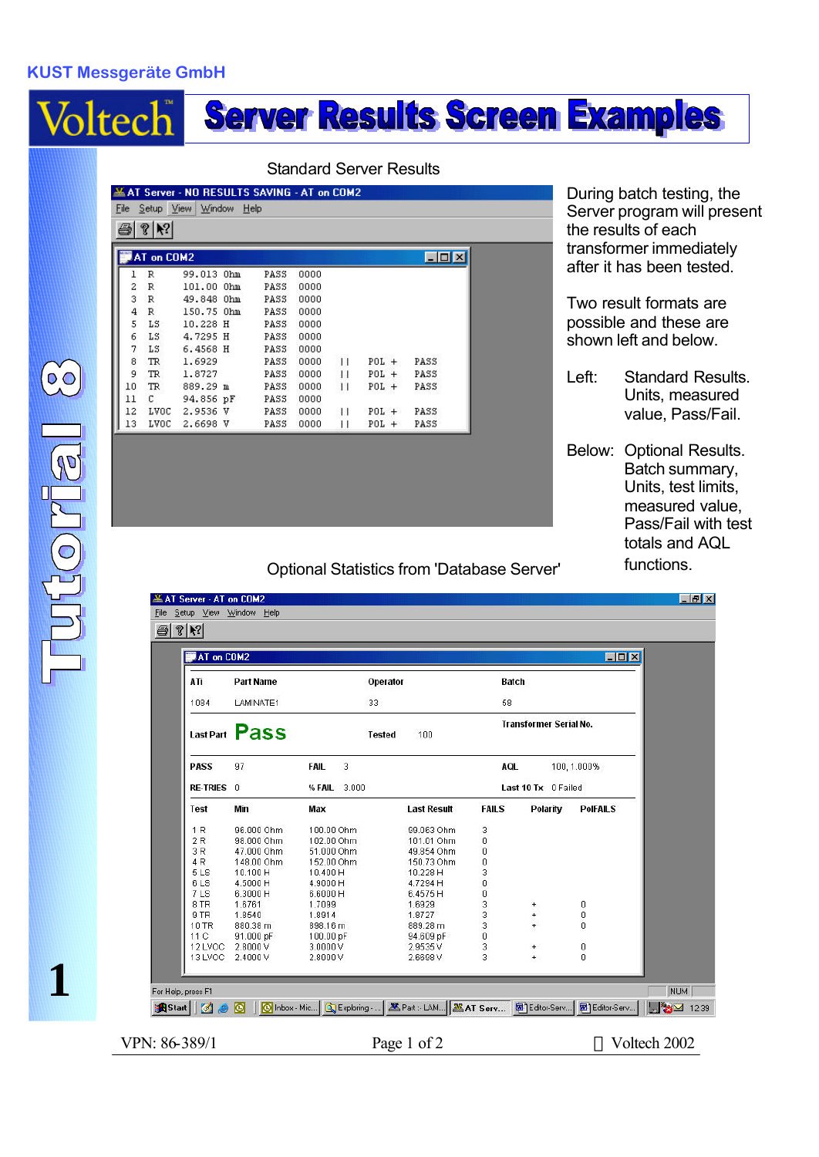## **KUST Messgeräte GmbH**

# **Server Results Screen Examples** Voltech

#### Standard Server Results

|    |            | $\mathcal{P}$   $\mathcal{N}$<br>ð |  |       |      |    |         |                  |  |
|----|------------|------------------------------------|--|-------|------|----|---------|------------------|--|
|    | AT on COM2 |                                    |  |       |      |    |         | $ \Box$ $\times$ |  |
|    |            |                                    |  |       |      |    |         |                  |  |
|    | R          | 99.013 Ohm                         |  | PASS  | 0000 |    |         |                  |  |
| 2  | R          | 101.00 Ohm                         |  | PASS  | 0000 |    |         |                  |  |
| 3  | R          | 49.848 Ohm                         |  | PASS  | 0000 |    |         |                  |  |
| 4  | R          | 150.75 Ohm                         |  | PASS  | 0000 |    |         |                  |  |
| 5  | LS         | 10.228 H                           |  | PASS  | 0000 |    |         |                  |  |
| 6  | LS         | 4.7295 H                           |  | PASS  | 0000 |    |         |                  |  |
| 7  | LS         | 6.4568 H                           |  | PASS  | 0000 |    |         |                  |  |
| 8  | TR.        | 1.6929                             |  | PASS. | 0000 | Н  | $POL +$ | PASS             |  |
| 9  | TR         | 1.8727                             |  | PASS  | 0000 | Н  | $POL +$ | PASS             |  |
| 10 | TR         | 889.29 m                           |  | PASS  | 0000 | Н  | $POL +$ | PASS             |  |
| 11 | С          | 94.856 pF                          |  | PASS  | 0000 |    |         |                  |  |
| 12 | LVOC       | 2.9536 V                           |  | PASS  | 0000 | 11 | $POL +$ | PASS             |  |
| 13 | LVOC       | 2.6698 V                           |  | PASS  | 0000 | П  | $POL +$ | PASS             |  |

During batch testing, the Server program will present the results of each transformer immediately after it has been tested.

Two result formats are possible and these are shown left and below.

- Left: Standard Results. Units, measured value, Pass/Fail.
- Below: Optional Results. Batch summary, Units, test limits, measured value, Pass/Fail with test totals and AQL functions.

### Optional Statistics from 'Database Server'

| AT on COM2      |                  |                      |                    |              | $\Box$ D $\bm{x}$                             |                 |  |  |
|-----------------|------------------|----------------------|--------------------|--------------|-----------------------------------------------|-----------------|--|--|
| ATi             | <b>Part Name</b> | Operator             |                    | Batch<br>58  |                                               |                 |  |  |
| 1084            | LAMINATE1        | 33                   |                    |              |                                               |                 |  |  |
|                 | Last Part Pass   | <b>Tested</b>        | 100                |              | <b>Transformer Serial No.</b>                 |                 |  |  |
| <b>PASS</b>     | 97               | 3<br><b>FAIL</b>     |                    | AQL          |                                               | 100, 1.000%     |  |  |
| RE-TRIES 0      |                  | % FAIL 3.000         |                    |              | Last 10 Tx 0 Failed                           |                 |  |  |
| <b>Test</b>     | Min              | Max                  | <b>Last Result</b> | <b>FAILS</b> | Polarity                                      | <b>PolFAILS</b> |  |  |
| 1 <sub>R</sub>  | 96,000 Ohm.      | 100.00 Ohm           | 99.063 Ohm         | 3            |                                               |                 |  |  |
| 2R              | 98.000 Ohm       | 102.00 Ohm           | 101.01 Ohm         | 0            |                                               |                 |  |  |
| 3R              | 47.000 Ohm       | 51.000 Ohm           | 49.854 Ohm         | 0            |                                               |                 |  |  |
| 4R              | 148.00 Ohm       | 152.00 Ohm           | 150.73 Ohm         | 0            |                                               |                 |  |  |
| 5 <sub>LS</sub> | 10.100 H         | 10.400 H             | 10.228 H           | 3            |                                               |                 |  |  |
| 6LS             | 4.5000 H         | 4.9000 H             | 4.7294 H           | $\mathbf 0$  |                                               |                 |  |  |
| 7LS             | 6.3000 H         | 6.6000 H             | 6.4575 H           | $\mathbf 0$  |                                               |                 |  |  |
| 8 TR<br>9TR     | 1.6761<br>1.8540 | 1.7099<br>1.8914     | 1.6929<br>1.8727   | 33           | $\begin{array}{c} + \end{array}$<br>$\ddot{}$ | 0               |  |  |
| 10 TR           | 880.38 m         | 898.16 m             | 889.28 m           |              | $\ddot{}$                                     | 0<br>0          |  |  |
| 11C             | 91.000 pF        |                      | 94.609 pF          | $\mathbf 0$  |                                               |                 |  |  |
| 12 LVOC         | 2.8000V          | 100.00 pF<br>3.0000V | 2.9535V            | 3            | $+$                                           | 0               |  |  |
| 13 LVOC         | 2.4000V          | 2.8000V              | 2.6698V            | 3            | $\ddot{}$                                     | $\Omega$        |  |  |

VPN: 86-389/1 Page 1 of 2 © Voltech 2002